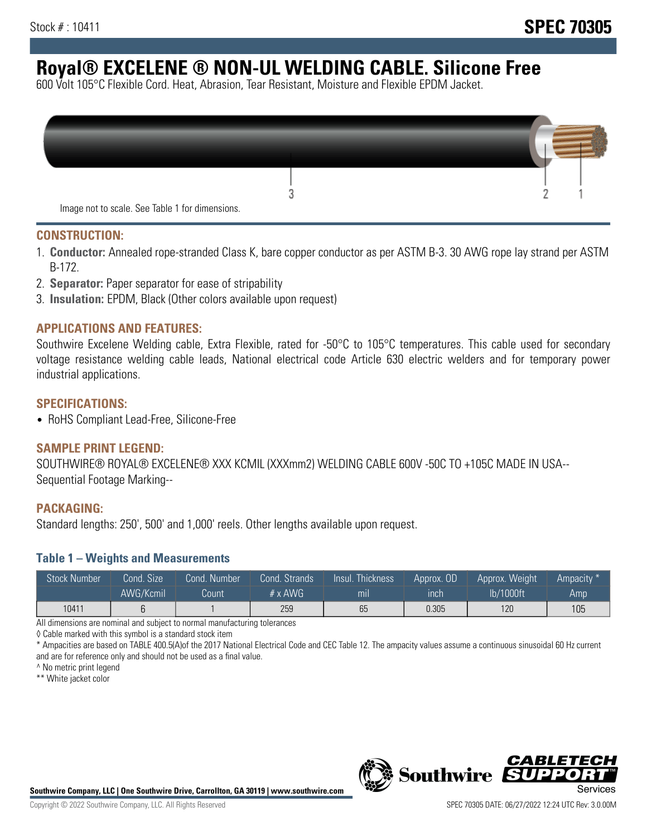# **Royal® EXCELENE ® NON-UL WELDING CABLE. Silicone Free**

600 Volt 105°C Flexible Cord. Heat, Abrasion, Tear Resistant, Moisture and Flexible EPDM Jacket.

| Image not to scale. See Table 1 for dimensions. |  |
|-------------------------------------------------|--|

#### **CONSTRUCTION:**

- 1. **Conductor:** Annealed rope-stranded Class K, bare copper conductor as per ASTM B-3. 30 AWG rope lay strand per ASTM B-172.
- 2. **Separator:** Paper separator for ease of stripability
- 3. **Insulation:** EPDM, Black (Other colors available upon request)

### **APPLICATIONS AND FEATURES:**

Southwire Excelene Welding cable, Extra Flexible, rated for -50°C to 105°C temperatures. This cable used for secondary voltage resistance welding cable leads, National electrical code Article 630 electric welders and for temporary power industrial applications.

#### **SPECIFICATIONS:**

• RoHS Compliant Lead-Free, Silicone-Free

#### **SAMPLE PRINT LEGEND:**

SOUTHWIRE® ROYAL® EXCELENE® XXX KCMIL (XXXmm2) WELDING CABLE 600V -50C TO +105C MADE IN USA-- Sequential Footage Marking--

#### **PACKAGING:**

Standard lengths: 250', 500' and 1,000' reels. Other lengths available upon request.

#### **Table 1 – Weights and Measurements**

| <b>Stock Number</b> | Cond. Size' | Cond. Number | Cond. Strands   | Insul. Thickness | Approx. OD | Approx. Weight | Ampacity * |
|---------------------|-------------|--------------|-----------------|------------------|------------|----------------|------------|
|                     | AWG/Kcmil   | Count        | $# \times$ AWG. | m <sub>l</sub>   | inch       | lb/1000ft      | Amp        |
| 10411               |             |              | 259             | 65               | 0.305      | 120            | 105        |

All dimensions are nominal and subject to normal manufacturing tolerances

◊ Cable marked with this symbol is a standard stock item

\* Ampacities are based on TABLE 400.5(A)of the 2017 National Electrical Code and CEC Table 12. The ampacity values assume a continuous sinusoidal 60 Hz current and are for reference only and should not be used as a final value.

^ No metric print legend

\*\* White jacket color